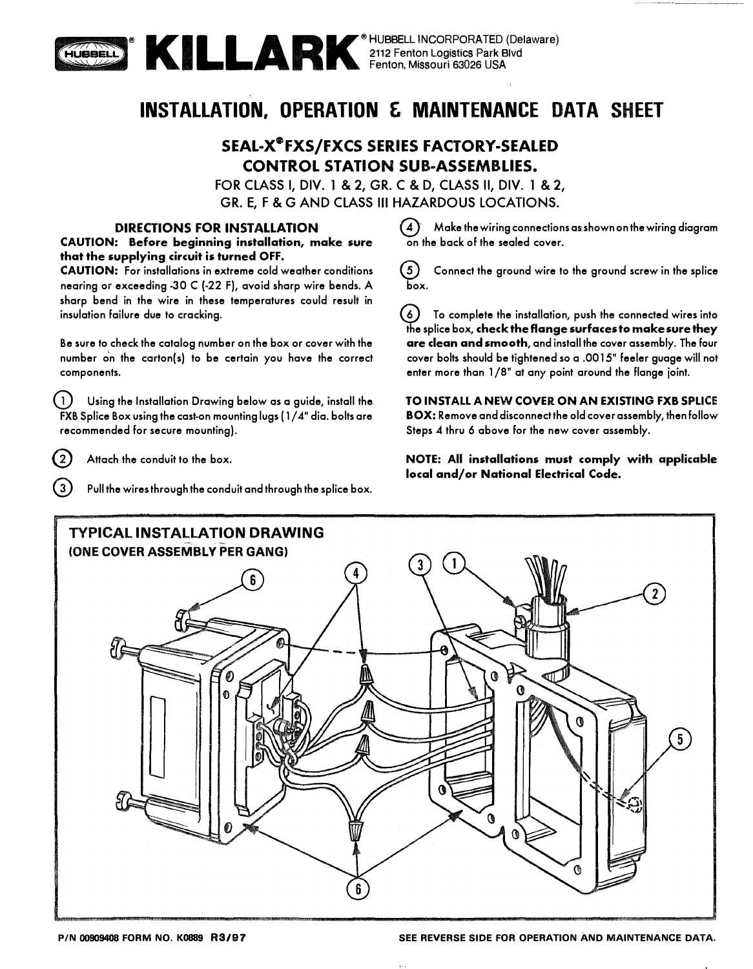

2112 Fenton Logistics Park Blvd Fenton, Missouri 63026 USA

# **INSTALLATION, OPERATION & MAINTENANCE DATA SHEET**

# SEAL-X®FXS/FXCS SERIES FACTORY-SEALED CONTROL STATION SUB-ASSEMBLIES.

FOR CLASS I, DIV. 1 & 2, GR. C & D, CLASS II, DIV. 1 & 2, GR. E, F & G AND CLASS Ill HAZARDOUS LOCATIONS.

#### **DIRECTIONS FOR INSTALLATION**

**CAUTION: Before beginning installation, make sure that the supplying circuit is turned OFF.** 

**CAUTION: For installations in extreme cold weather conditions nearing or exceeding -30 C (-22 F), avoid sharp wire bends. A sharp bend in the wire in these temperatures could result in insulation failure due to cracking.** 

**Be sure to check the catalog number on the box or cover with the number on the carton{s) to be certain you have the correct components.** 

G) **Using the Installation Drawing below as a guide, install the FXB Splice Box using the cast-on mounting lugs ( 1 / 4" dia. bolts are recommended for secure mounting).**

@ **Attach the conduit to the box.**

Pull the wires through the conduit and through the splice box.

© **Make the wiring connections as shown on the wiring diagram on the back of the sealed cover.** 

0 **Connect the ground wire to the ground screw in the splice box.** 

© **To complete the installation, push the connected wires into the splice box, check the flange surfaces to make sure they are clean and smooth, and install the cover assembly. The four cover bolts should be tightened so a .0015" feeler guage will not enter more than 1 /8" at any point around the flange joint.** 

**TO INSTALL A NEW COVER ON AN EXISTING FXB SPLICE BOX: Remove and disconnect the old cover assembly, then follow Steps 4 thru 6 above for the new cover assembly.** 

**NOTE: All installations must comply with** applicable **local and/or National Electrical Code.**